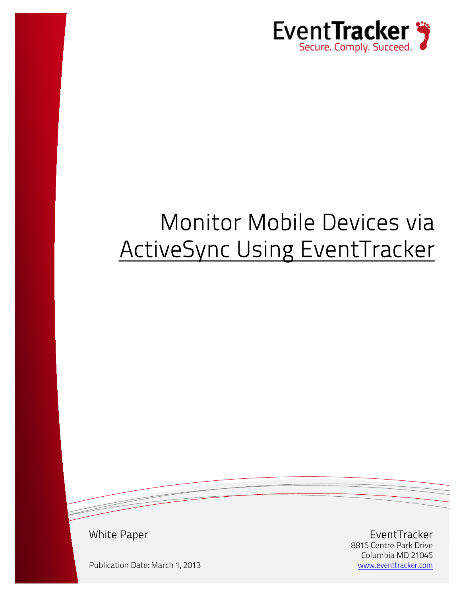

# Monitor Mobile Devices via ActiveSync Using EventTracker

White Paper

Publication Date: March 1, 2013

EventTracker 8815 Centre Park Drive Columbia MD 21045 [www.eventtracker.com](http://www.eventtracker.com/)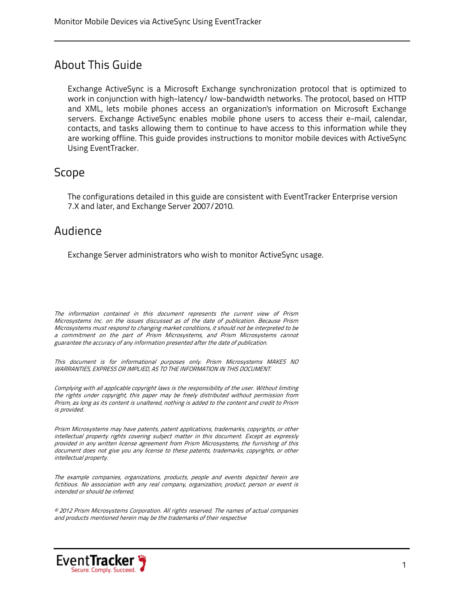#### About This Guide

Exchange ActiveSync is a Microsoft Exchange synchronization protocol that is optimized to work in conjunction with high-latency/ low-bandwidth networks. The protocol, based on HTTP and XML, lets mobile phones access an organization's information on Microsoft Exchange servers. Exchange ActiveSync enables mobile phone users to access their e-mail, calendar, contacts, and tasks allowing them to continue to have access to this information while they are working offline. This guide provides instructions to monitor mobile devices with ActiveSync Using EventTracker.

#### Scope

The configurations detailed in this guide are consistent with EventTracker Enterprise version 7.X and later, and Exchange Server 2007/2010.

#### Audience

Exchange Server administrators who wish to monitor ActiveSync usage.

The information contained in this document represents the current view of Prism Microsystems Inc. on the issues discussed as of the date of publication. Because Prism Microsystems must respond to changing market conditions, it should not be interpreted to be a commitment on the part of Prism Microsystems, and Prism Microsystems cannot guarantee the accuracy of any information presented after the date of publication.

This document is for informational purposes only. Prism Microsystems MAKES NO WARRANTIES, EXPRESS OR IMPLIED, AS TO THE INFORMATION IN THIS DOCUMENT.

Complying with all applicable copyright laws is the responsibility of the user. Without limiting the rights under copyright, this paper may be freely distributed without permission from Prism, as long as its content is unaltered, nothing is added to the content and credit to Prism is provided.

Prism Microsystems may have patents, patent applications, trademarks, copyrights, or other intellectual property rights covering subject matter in this document. Except as expressly provided in any written license agreement from Prism Microsystems, the furnishing of this document does not give you any license to these patents, trademarks, copyrights, or other intellectual property.

The example companies, organizations, products, people and events depicted herein are fictitious. No association with any real company, organization, product, person or event is intended or should be inferred.

© 2012 Prism Microsystems Corporation. All rights reserved. The names of actual companies and products mentioned herein may be the trademarks of their respective

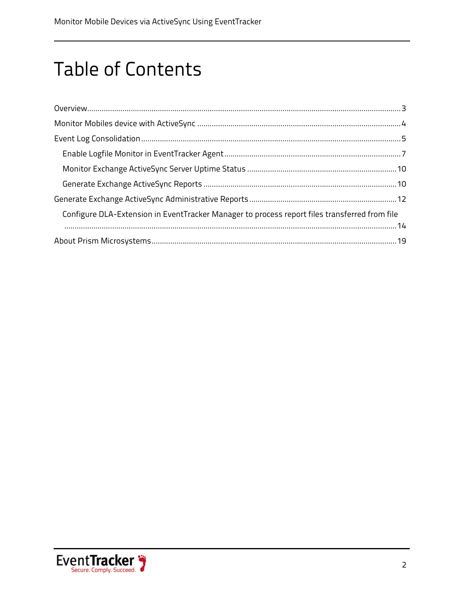## **Table of Contents**

| Configure DLA-Extension in EventTracker Manager to process report files transferred from file |  |
|-----------------------------------------------------------------------------------------------|--|
|                                                                                               |  |
|                                                                                               |  |

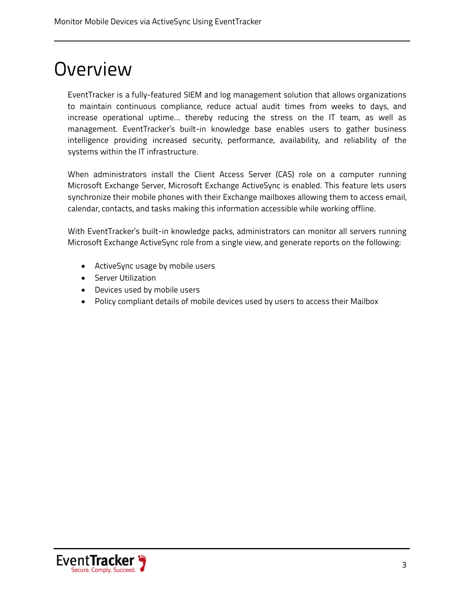### <span id="page-3-0"></span>Overview

EventTracker is a fully-featured SIEM and log management solution that allows organizations to maintain continuous compliance, reduce actual audit times from weeks to days, and increase operational uptime… thereby reducing the stress on the IT team, as well as management. EventTracker's built-in knowledge base enables users to gather business intelligence providing increased security, performance, availability, and reliability of the systems within the IT infrastructure.

When administrators install the Client Access Server (CAS) role on a computer running Microsoft Exchange Server, Microsoft Exchange ActiveSync is enabled. This feature lets users synchronize their mobile phones with their Exchange mailboxes allowing them to access email, calendar, contacts, and tasks making this information accessible while working offline.

With EventTracker's built-in knowledge packs, administrators can monitor all servers running Microsoft Exchange ActiveSync role from a single view, and generate reports on the following:

- ActiveSync usage by mobile users
- Server Utilization
- Devices used by mobile users
- Policy compliant details of mobile devices used by users to access their Mailbox

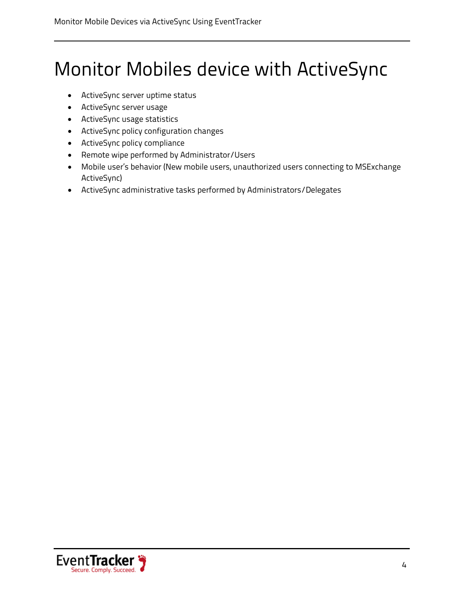## <span id="page-4-0"></span>Monitor Mobiles device with ActiveSync

- ActiveSync server uptime status
- ActiveSync server usage
- ActiveSync usage statistics
- ActiveSync policy configuration changes
- ActiveSync policy compliance
- Remote wipe performed by Administrator/Users
- Mobile user's behavior (New mobile users, unauthorized users connecting to MSExchange ActiveSync)
- ActiveSync administrative tasks performed by Administrators/Delegates

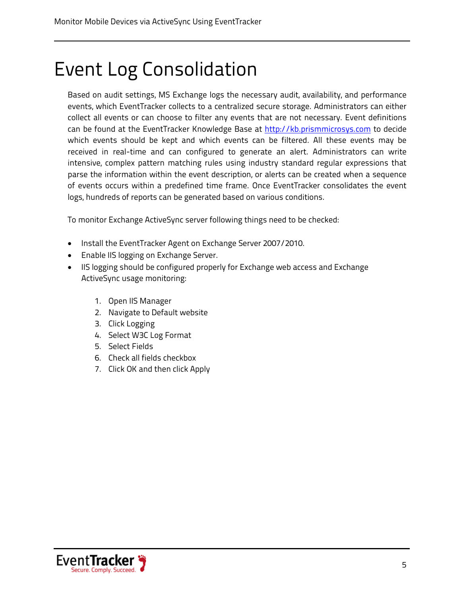### <span id="page-5-0"></span>Event Log Consolidation

Based on audit settings, MS Exchange logs the necessary audit, availability, and performance events, which EventTracker collects to a centralized secure storage. Administrators can either collect all events or can choose to filter any events that are not necessary. Event definitions can be found at the EventTracker Knowledge Base at [http://kb.prismmicrosys.com](http://kb.prismmicrosys.com/) to decide which events should be kept and which events can be filtered. All these events may be received in real-time and can configured to generate an alert. Administrators can write intensive, complex pattern matching rules using industry standard regular expressions that parse the information within the event description, or alerts can be created when a sequence of events occurs within a predefined time frame. Once EventTracker consolidates the event logs, hundreds of reports can be generated based on various conditions.

To monitor Exchange ActiveSync server following things need to be checked:

- Install the EventTracker Agent on Exchange Server 2007/2010.
- Enable IIS logging on Exchange Server.
- IIS logging should be configured properly for Exchange web access and Exchange ActiveSync usage monitoring:
	- 1. Open IIS Manager
	- 2. Navigate to Default website
	- 3. Click Logging
	- 4. Select W3C Log Format
	- 5. Select Fields
	- 6. Check all fields checkbox
	- 7. Click OK and then click Apply

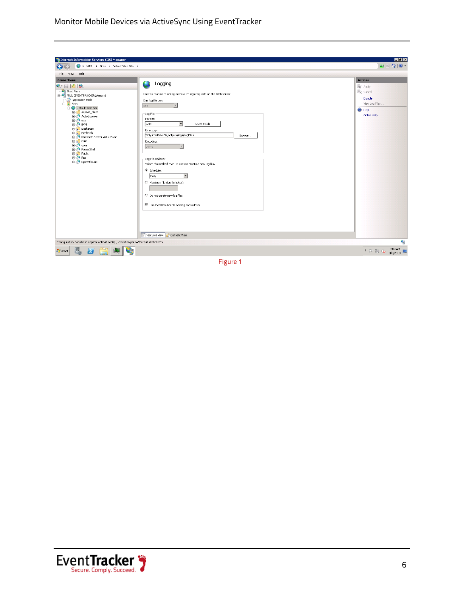Monitor Mobile Devices via ActiveSync Using EventTracker



Figure 1

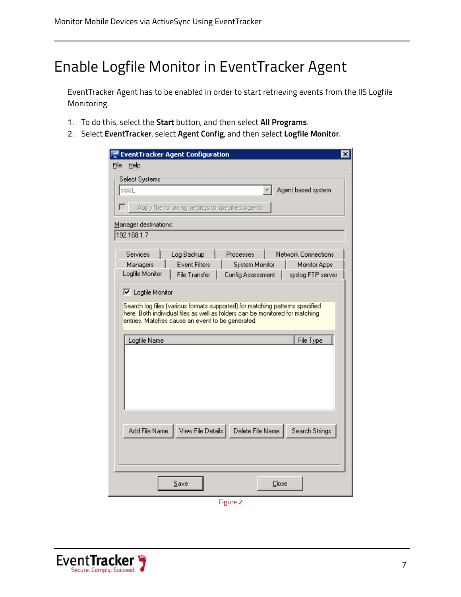### <span id="page-7-0"></span>Enable Logfile Monitor in EventTracker Agent

EventTracker Agent has to be enabled in order to start retrieving events from the IIS Logfile Monitoring.

- 1. To do this, select the **Start** button, and then select **All Programs**.
- 2. Select **EventTracker**, select **Agent Config**, and then select **Logfile Monitor**.

| <b>EventTracker Agent Configuration</b>                                       | ×                   |
|-------------------------------------------------------------------------------|---------------------|
| File<br>Help                                                                  |                     |
| Select Systems                                                                |                     |
| MAIL                                                                          | Agent based system  |
|                                                                               |                     |
| Apply the following settings to specified Agents<br>П                         |                     |
| Manager destinations:                                                         |                     |
| 192.168.1.7                                                                   |                     |
|                                                                               |                     |
| Services<br>Log Backup<br>Processes                                           | Network Connections |
| <b>Event Filters</b><br>System Monitor<br>Managers                            | Monitor Apps        |
| Logfile Monitor<br><b>File Transfer</b><br>Config Assessment                  | syslog FTP server   |
| <b>▽</b> Logfile Monitor                                                      |                     |
| Search log files (various formats supported) for matching patterns specified. |                     |
| here. Both individual files as well as folders can be monitored for matching  |                     |
| entries. Matches cause an event to be generated.                              |                     |
|                                                                               |                     |
| Logfile Name                                                                  | File Type           |
|                                                                               |                     |
|                                                                               |                     |
|                                                                               |                     |
|                                                                               |                     |
|                                                                               |                     |
|                                                                               |                     |
|                                                                               |                     |
| View File Details<br>Delete File Name<br>Add File Name                        | Search Strings      |
|                                                                               |                     |
|                                                                               |                     |
|                                                                               |                     |
|                                                                               |                     |
| Close<br>Save                                                                 |                     |
|                                                                               |                     |

Figure 2

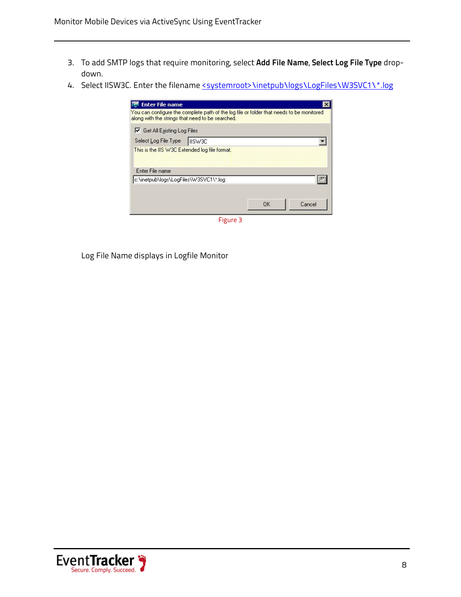- 3. To add SMTP logs that require monitoring, select **Add File Name**, **Select Log File Type** dropdown.
- 4. Select IISW3C. Enter the filename <systemroot>\inetpub\logs\LogFiles\W3SVC1\\*.log

| <b>Enter File name</b><br>You can configure the complete path of the log file or folder that needs to be monitored<br>along with the strings that need to be searched. |    |        |
|------------------------------------------------------------------------------------------------------------------------------------------------------------------------|----|--------|
| <b>▽</b> Get All Existing Log Files                                                                                                                                    |    |        |
| Select Log File Type   IISW3C                                                                                                                                          |    |        |
| This is the IIS W3C Extended log file format.                                                                                                                          |    |        |
| Enter File name<br>c:\inetpub\logs\LogFiles\W3SVC1\*.log                                                                                                               |    |        |
|                                                                                                                                                                        |    |        |
|                                                                                                                                                                        | ПK | Cancel |

Figure 3

Log File Name displays in Logfile Monitor

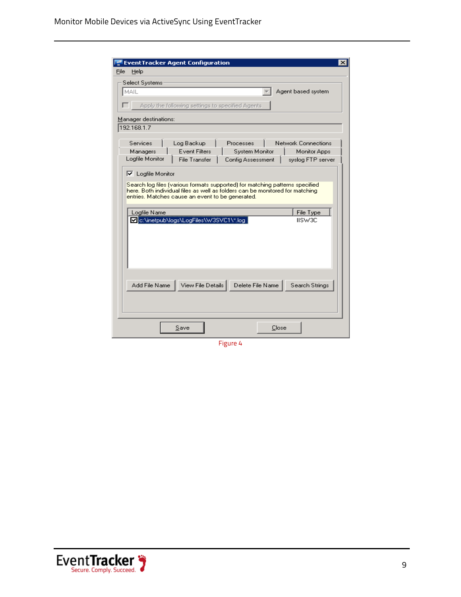| <b>EventTracker Agent Configuration</b>                                                                                                                                                                                                      |
|----------------------------------------------------------------------------------------------------------------------------------------------------------------------------------------------------------------------------------------------|
| Help<br>File                                                                                                                                                                                                                                 |
| <b>Select Systems</b>                                                                                                                                                                                                                        |
| MAIL<br>Agent based system                                                                                                                                                                                                                   |
| Apply the following settings to specified Agents                                                                                                                                                                                             |
| Manager destinations:                                                                                                                                                                                                                        |
| 192.168.1.7                                                                                                                                                                                                                                  |
| Services<br>Log Backup<br>Network Connections<br>Processes<br><b>Event Filters</b><br>Managers<br>System Monitor<br>Monitor Apps<br>Logfile Monitor<br><b>File Transfer</b><br>Config Assessment<br>syslog FTP server                        |
| $\nabla$ Logfile Monitor<br>Search log files (various formats supported) for matching patterns specified<br>here. Both individual files as well as folders can be monitored for matching<br>entries. Matches cause an event to be generated. |
| File Type<br>Logfile Name                                                                                                                                                                                                                    |
| c:\inetpub\logs\LogFiles\W3SVC1\*.log<br>IISW3C                                                                                                                                                                                              |
| View File Details  <br>Delete File Name<br>Search Strings<br>Add File Name                                                                                                                                                                   |
| Close<br>Save                                                                                                                                                                                                                                |

Figure 4

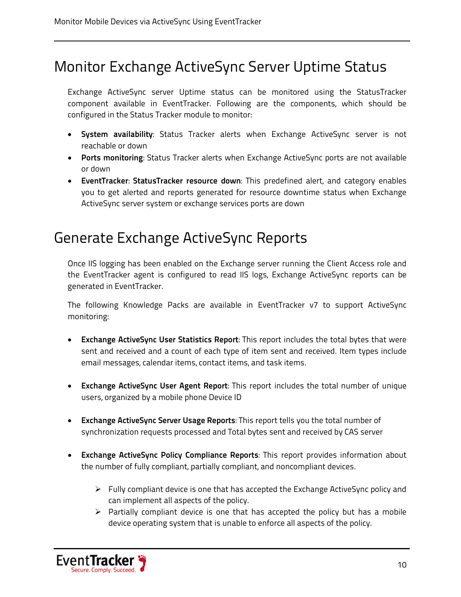### <span id="page-10-0"></span>Monitor Exchange ActiveSync Server Uptime Status

Exchange ActiveSync server Uptime status can be monitored using the StatusTracker component available in EventTracker. Following are the components, which should be configured in the Status Tracker module to monitor:

- **System availability**: Status Tracker alerts when Exchange ActiveSync server is not reachable or down
- **Ports monitoring**: Status Tracker alerts when Exchange ActiveSync ports are not available or down
- **EventTracker**: **StatusTracker resource down**: This predefined alert, and category enables you to get alerted and reports generated for resource downtime status when Exchange ActiveSync server system or exchange services ports are down

### <span id="page-10-1"></span>Generate Exchange ActiveSync Reports

Once IIS logging has been enabled on the Exchange server running the Client Access role and the EventTracker agent is configured to read IIS logs, Exchange ActiveSync reports can be generated in EventTracker.

The following Knowledge Packs are available in EventTracker v7 to support ActiveSync monitoring:

- **Exchange ActiveSync User Statistics Report**: This report includes the total bytes that were sent and received and a count of each type of item sent and received. Item types include email messages, calendar items, contact items, and task items.
- **Exchange ActiveSync User Agent Report**: This report includes the total number of unique users, organized by a mobile phone Device ID
- **Exchange ActiveSync Server Usage Reports**: This report tells you the total number of synchronization requests processed and Total bytes sent and received by CAS server
- **Exchange ActiveSync Policy Compliance Reports**: This report provides information about the number of fully compliant, partially compliant, and noncompliant devices.
	- $\triangleright$  Fully compliant device is one that has accepted the Exchange ActiveSync policy and can implement all aspects of the policy.
	- $\triangleright$  Partially compliant device is one that has accepted the policy but has a mobile device operating system that is unable to enforce all aspects of the policy.

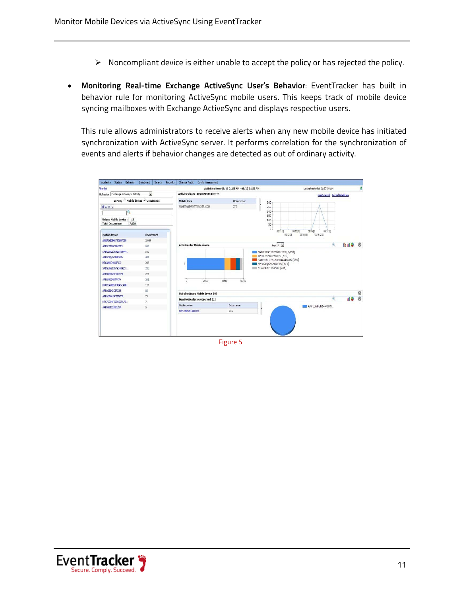- $\triangleright$  Noncompliant device is either unable to accept the policy or has rejected the policy.
- **Monitoring Real-time Exchange ActiveSync User's Behavior**: EventTracker has built in behavior rule for monitoring ActiveSync mobile users. This keeps track of mobile device syncing mailboxes with Exchange ActiveSync and displays respective users.

This rule allows administrators to receive alerts when any new mobile device has initiated synchronization with ActiveSync server. It performs correlation for the synchronization of events and alerts if behavior changes are detected as out of ordinary activity.



Figure 5

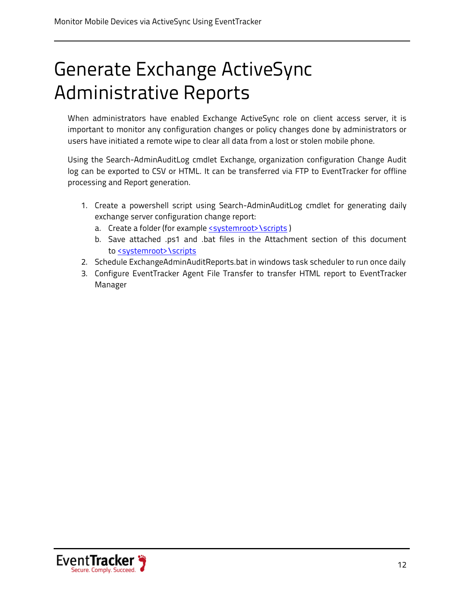## <span id="page-12-0"></span>Generate Exchange ActiveSync Administrative Reports

When administrators have enabled Exchange ActiveSync role on client access server, it is important to monitor any configuration changes or policy changes done by administrators or users have initiated a remote wipe to clear all data from a lost or stolen mobile phone.

Using the Search-AdminAuditLog cmdlet Exchange, organization configuration Change Audit log can be exported to CSV or HTML. It can be transferred via FTP to EventTracker for offline processing and Report generation.

- 1. Create a powershell script using Search-AdminAuditLog cmdlet for generating daily exchange server configuration change report:
	- a. Create a folder (for example <u><systemroot>\scripts</u> )
	- b. Save attached .ps1 and .bat files in the Attachment section of this document to <u><systemroot>\scripts</u>
- 2. Schedule ExchangeAdminAuditReports.bat in windows task scheduler to run once daily
- 3. Configure EventTracker Agent File Transfer to transfer HTML report to EventTracker Manager

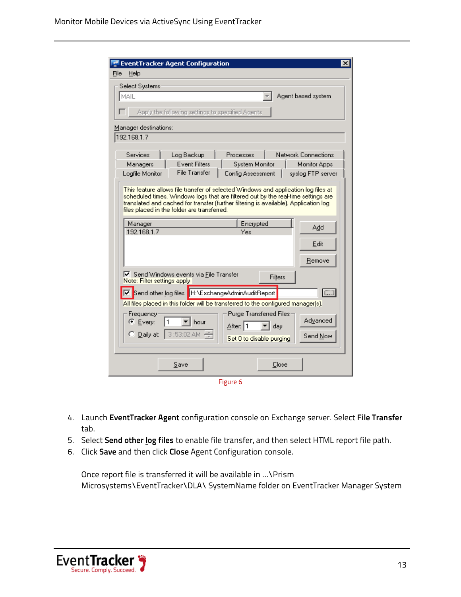| <b>EventTracker Agent Configuration</b><br>×                                                                                                                                                                                                                                                                   |
|----------------------------------------------------------------------------------------------------------------------------------------------------------------------------------------------------------------------------------------------------------------------------------------------------------------|
| Help<br>File                                                                                                                                                                                                                                                                                                   |
| Select Systems                                                                                                                                                                                                                                                                                                 |
| Agent based system<br>MAIL                                                                                                                                                                                                                                                                                     |
| Apply the following settings to specified Agents                                                                                                                                                                                                                                                               |
| Manager destinations:                                                                                                                                                                                                                                                                                          |
| 192.168.1.7                                                                                                                                                                                                                                                                                                    |
| Services<br>Log Backup<br>Network Connections<br>Processes<br><b>Event Filters</b><br>System Monitor<br>Monitor Apps<br>Managers<br><b>File Transfer</b><br>Logfile Monitor<br>Config Assessment<br>syslog FTP server                                                                                          |
| This feature allows file transfer of selected Windows and application log files at<br>scheduled times. Windows logs that are filtered out by the real-time settings are<br>translated and cached for transfer (further filtering is available). Application log<br>files placed in the folder are transferred. |
| Encrypted<br>Manager<br>Add<br>192.168.1.7<br>Yes                                                                                                                                                                                                                                                              |
| Edit                                                                                                                                                                                                                                                                                                           |
|                                                                                                                                                                                                                                                                                                                |
| Remove                                                                                                                                                                                                                                                                                                         |
| $\blacktriangleright$ Send Windows events via File Transfer<br>Filters<br>Note: Filter settings apply                                                                                                                                                                                                          |
| $\Box$<br>Send other log files   H:\ExchangeAdminAuditReport                                                                                                                                                                                                                                                   |
| All files placed in this folder will be transferred to the configured manager(s).                                                                                                                                                                                                                              |
| Purge Transferred Files:<br>Frequency<br><b>Advanced</b><br>C Every:<br>l hour<br>After: 1<br>▼∣dav<br>3:53:02 AM<br>$\bigcirc$ Daily at:                                                                                                                                                                      |
| Send Now<br>Set 0 to disable purging                                                                                                                                                                                                                                                                           |
| Close<br>Save                                                                                                                                                                                                                                                                                                  |

Figure 6

- 4. Launch **EventTracker Agent** configuration console on Exchange server. Select **File Transfer** tab.
- 5. Select **Send other log files** to enable file transfer, and then select HTML report file path.
- 6. Click **Save** and then click **Close** Agent Configuration console.

Once report file is transferred it will be available in …\Prism Microsystems\EventTracker\DLA\ SystemName folder on EventTracker Manager System

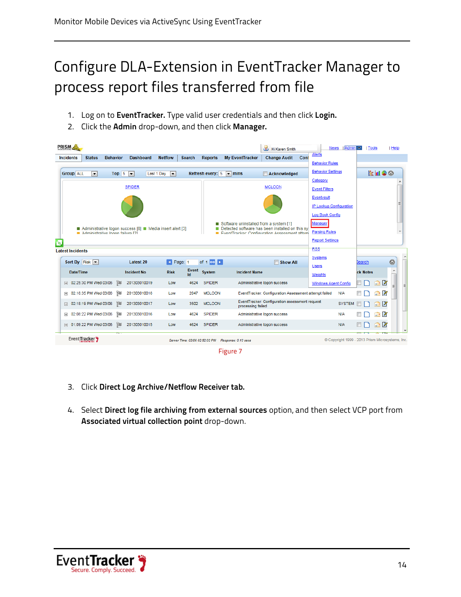### <span id="page-14-0"></span>Configure DLA-Extension in EventTracker Manager to process report files transferred from file

- 1. Log on to **EventTracker.** Type valid user credentials and then click **Login.**
- 2. Click the **Admin** drop-down, and then click **Manager.**

| <b>PRISM</b>                                 |                                                         |                          |               |                                 |                                        | <b>B</b> Hi Karen Smith                               |      |                                                   | Admin<br><b>News</b> | $\overline{\nabla}$ | <b>Tools</b>      | Help      |
|----------------------------------------------|---------------------------------------------------------|--------------------------|---------------|---------------------------------|----------------------------------------|-------------------------------------------------------|------|---------------------------------------------------|----------------------|---------------------|-------------------|-----------|
| <b>Incidents</b><br><b>Status</b>            | <b>Behavior</b><br><b>Dashboard</b>                     | <b>Netflow</b>           | <b>Search</b> | <b>Reports</b>                  | <b>My EventTracker</b>                 | <b>Change Audit</b>                                   | Cont | Alerts                                            |                      |                     |                   |           |
|                                              |                                                         |                          |               |                                 |                                        |                                                       |      | <b>Behavior Rules</b><br><b>Behavior Settings</b> |                      |                     |                   |           |
| <b>Group ALL</b><br>$\overline{\phantom{0}}$ | Top 5<br>$\overline{\phantom{a}}$<br>Last 1 Dav         | $\overline{\phantom{a}}$ |               | Refresh every: 5                | $\blacksquare$ mins                    | Acknowledged                                          |      | Category                                          |                      |                     | 自由のの              |           |
|                                              | <b>SPIDER</b>                                           |                          |               |                                 |                                        | <b>MCLOON</b>                                         |      | <b>Event Filters</b>                              |                      |                     |                   |           |
|                                              |                                                         |                          |               |                                 |                                        |                                                       |      | Eventvault                                        |                      |                     |                   |           |
|                                              |                                                         |                          |               |                                 |                                        |                                                       |      | IP Lookup Configuration                           |                      |                     |                   |           |
|                                              |                                                         |                          |               |                                 |                                        |                                                       |      | Log Book Config                                   |                      |                     |                   |           |
|                                              | Administrative logon success [8] Nedia insert alert [3] |                          |               |                                 | Software uninstalled from a system [1] | Detected software has been installed on this sy       |      | Manager                                           |                      |                     |                   |           |
|                                              |                                                         |                          |               |                                 |                                        | EventTracker: Configuration Assessment attem          |      | <b>Parsing Rules</b>                              |                      |                     |                   |           |
| Administrative Ionon failure [2]             |                                                         |                          |               |                                 |                                        |                                                       |      |                                                   |                      |                     |                   | ٠         |
| Ñ                                            |                                                         |                          |               |                                 |                                        |                                                       |      | <b>Report Settings</b>                            |                      |                     |                   |           |
| <b>Latest Incidents</b>                      |                                                         |                          |               |                                 |                                        |                                                       |      | <b>RSS</b>                                        |                      |                     |                   |           |
| Sort By Risk $\overline{\phantom{a}}$        | <b>Latest 20</b>                                        | Page: 1                  |               | of $1$ co $\blacktriangleright$ |                                        | <b>Show All</b>                                       |      | Systems                                           |                      | Bearch              |                   | $\bullet$ |
| Date/Time                                    | <b>Incident No</b>                                      | <b>Risk</b>              | Event<br>Id   | System                          | <b>Incident Name</b>                   |                                                       |      | <b>Users</b><br>Weights                           |                      | ck Notes            |                   | ۸         |
| 田 02:25:30 PM Wed 03/06                      | 画<br>201303010019                                       | Low                      | 4624          | <b>SPIDER</b>                   |                                        | Administrative logon success                          |      | <b>Windows Agent Config</b>                       |                      |                     | P<br>ſ۰           |           |
| 02:18:35 PM Wed 03/06<br>$\overline{+}$      | Ì<br>201303010018                                       | Low                      | 2047          | <b>MCLOON</b>                   |                                        | EventTracker: Configuration Assessment attempt failed |      |                                                   | <b>N/A</b>           |                     | И<br>$\leftarrow$ |           |
| 02:18:19 PM Wed 03/06<br>$\overline{+}$      | 画<br>201303010017                                       | Low                      | 3502          | <b>MCLOON</b>                   | processing failed                      | EventTracker: Configuration assessment request        |      |                                                   | <b>SYSTEM</b>        |                     | $\bigcap$         |           |
| 02:08:22 PM Wed 03/06<br>$\mathbf{F}$        | 御<br>201303010016                                       | Low                      | 4624          | <b>SPIDER</b>                   |                                        | Administrative logon success                          |      |                                                   | <b>N/A</b>           |                     | $\bigcap$         |           |
| Fili 01:09:22 PM Wed 03/06                   | 画<br>201303010015                                       | Low                      | 4624          | <b>SPIDER</b>                   |                                        | Administrative logon success                          |      |                                                   | <b>N/A</b>           |                     | $\bigcap$         |           |



- 3. Click **Direct Log Archive/Netflow Receiver tab.**
- 4. Select **Direct log file archiving from external sources** option, and then select VCP port from **Associated virtual collection point** drop-down.

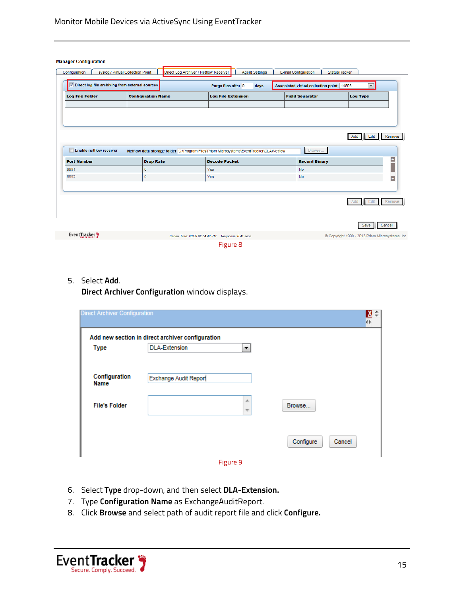| <b>Manager Configuration</b>                       |                           |                                                                                          |                           |                       |                                           |                      |                                                  |                          |
|----------------------------------------------------|---------------------------|------------------------------------------------------------------------------------------|---------------------------|-----------------------|-------------------------------------------|----------------------|--------------------------------------------------|--------------------------|
| Configuration<br>syslog / Virtual Collection Point |                           | Direct Log Archiver / Netflow Receiver                                                   |                           | <b>Agent Settings</b> | E-mail Configuration                      | <b>StatusTracker</b> |                                                  |                          |
| Direct log file archiving from external sources    |                           |                                                                                          | Purge files after 0       | days                  | Associated virtual collection point 14505 |                      | $\blacksquare$                                   |                          |
| <b>Log File Folder</b>                             | <b>Configuration Name</b> |                                                                                          | <b>Log File Extension</b> |                       | <b>Field Separator</b>                    |                      | <b>Log Type</b>                                  |                          |
|                                                    |                           |                                                                                          |                           |                       |                                           |                      |                                                  |                          |
|                                                    |                           |                                                                                          |                           |                       |                                           |                      |                                                  |                          |
|                                                    |                           |                                                                                          |                           |                       |                                           |                      |                                                  |                          |
|                                                    |                           |                                                                                          |                           |                       |                                           |                      |                                                  |                          |
|                                                    |                           |                                                                                          |                           |                       |                                           |                      | Edit<br>Add                                      | Remove                   |
|                                                    |                           |                                                                                          |                           |                       |                                           |                      |                                                  |                          |
| Enable netflow receiver                            |                           | Netflow data storage folder C:\Program Files\Prism Microsystems\EventTracker\DLA\Netflow |                           |                       | Browse                                    |                      |                                                  |                          |
| <b>Port Number</b>                                 | <b>Drop Rate</b>          |                                                                                          | <b>Decode Packet</b>      |                       | <b>Record Binary</b>                      |                      |                                                  | $\blacktriangle$         |
| 9991                                               | $\mathbf 0$               |                                                                                          | Yes                       |                       | <b>No</b>                                 |                      |                                                  |                          |
| 9992                                               | $\circ$                   |                                                                                          | Yes                       |                       | <b>No</b>                                 |                      |                                                  | $\overline{\phantom{0}}$ |
|                                                    |                           |                                                                                          |                           |                       |                                           |                      |                                                  |                          |
|                                                    |                           |                                                                                          |                           |                       |                                           |                      |                                                  |                          |
|                                                    |                           |                                                                                          |                           |                       |                                           |                      | Edit                                             |                          |
|                                                    |                           |                                                                                          |                           |                       |                                           |                      |                                                  |                          |
|                                                    |                           |                                                                                          |                           |                       |                                           |                      | Save                                             | Cancel                   |
| Event Tracker                                      |                           | Server Time: 03/06 02:54:42 PM Response: 0.41 secs                                       |                           |                       |                                           |                      | © Copyright 1999 - 2013 Prism Microsystems, Inc. | Remove                   |

5. Select **Add**.

**Direct Archiver Configuration** window displays.

| <b>Direct Archiver Configuration</b> |                                                  |                               | Χ÷<br>4Þ            |  |
|--------------------------------------|--------------------------------------------------|-------------------------------|---------------------|--|
|                                      | Add new section in direct archiver configuration |                               |                     |  |
| <b>Type</b>                          | <b>DLA-Extension</b>                             | ۰.                            |                     |  |
|                                      |                                                  |                               |                     |  |
| Configuration<br>Name                | Exchange Audit Report                            |                               |                     |  |
| <b>File's Folder</b>                 |                                                  | 业<br>$\overline{\phantom{a}}$ | Browse              |  |
|                                      |                                                  |                               | Configure<br>Cancel |  |
|                                      |                                                  | Figure 9                      |                     |  |

- 6. Select **Type** drop-down, and then select **DLA-Extension.**
- 7. Type **Configuration Name** as ExchangeAuditReport.
- 8. Click **Browse** and select path of audit report file and click **Configure.**

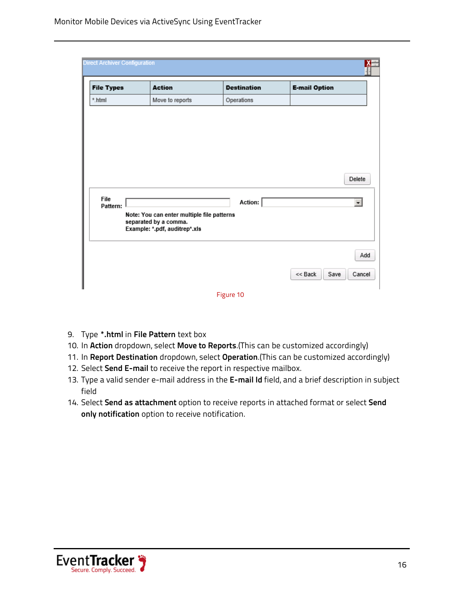| <b>File Types</b> | <b>Action</b>                                                                                        | <b>Destination</b> | <b>E-mail Option</b>    |
|-------------------|------------------------------------------------------------------------------------------------------|--------------------|-------------------------|
| *.html            | Move to reports                                                                                      | Operations         |                         |
|                   |                                                                                                      |                    |                         |
|                   |                                                                                                      |                    |                         |
|                   |                                                                                                      |                    |                         |
|                   |                                                                                                      |                    | Delete                  |
|                   |                                                                                                      | Action:            | $\overline{\mathbf{r}}$ |
| File              |                                                                                                      |                    |                         |
| Pattern:          | Note: You can enter multiple file patterns<br>separated by a comma.<br>Example: *.pdf, auditrep*.xls |                    |                         |
|                   |                                                                                                      |                    | Add                     |

- 9. Type **\*.html** in **File Pattern** text box
- 10. In **Action** dropdown, select **Move to Reports**.(This can be customized accordingly)
- 11. In **Report Destination** dropdown, select **Operation**.(This can be customized accordingly)
- 12. Select **Send E-mail** to receive the report in respective mailbox.
- 13. Type a valid sender e-mail address in the **E-mail Id** field, and a brief description in subject field
- 14. Select **Send as attachment** option to receive reports in attached format or select **Send only notification** option to receive notification.

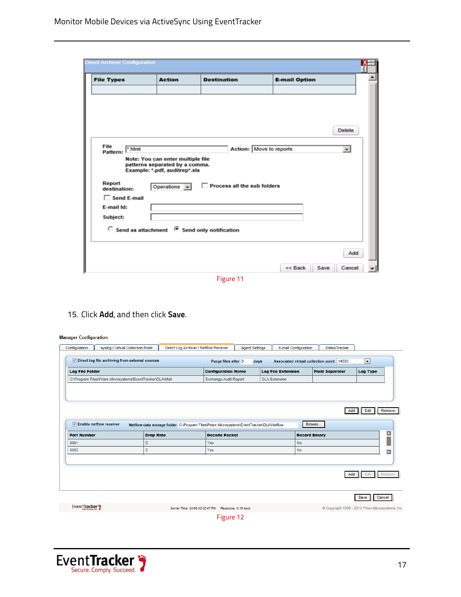| Delete<br>File<br>Action: Move to reports<br>".html<br>$\overline{ }$<br>Pattern:<br>Note: You can enter multiple file<br>patterns separated by a comma.<br>Example: *.pdf, auditrep*.xls<br>Report<br>Process all the sub folders<br>Operations $\blacktriangleright$<br>destination:<br>$\Box$ Send E-mail<br>E-mail Id:<br>Subject:<br>$\degree$ Send as attachment $\degree$ Send only notification | <b>File Types</b> | <b>Action</b> | <b>Destination</b> | <b>E-mail Option</b> |                       |
|---------------------------------------------------------------------------------------------------------------------------------------------------------------------------------------------------------------------------------------------------------------------------------------------------------------------------------------------------------------------------------------------------------|-------------------|---------------|--------------------|----------------------|-----------------------|
|                                                                                                                                                                                                                                                                                                                                                                                                         |                   |               |                    |                      |                       |
|                                                                                                                                                                                                                                                                                                                                                                                                         |                   |               |                    |                      |                       |
|                                                                                                                                                                                                                                                                                                                                                                                                         |                   |               |                    |                      |                       |
|                                                                                                                                                                                                                                                                                                                                                                                                         |                   |               |                    |                      |                       |
|                                                                                                                                                                                                                                                                                                                                                                                                         |                   |               |                    |                      |                       |
|                                                                                                                                                                                                                                                                                                                                                                                                         |                   |               |                    |                      |                       |
|                                                                                                                                                                                                                                                                                                                                                                                                         |                   |               |                    |                      |                       |
|                                                                                                                                                                                                                                                                                                                                                                                                         |                   |               |                    |                      |                       |
|                                                                                                                                                                                                                                                                                                                                                                                                         |                   |               |                    |                      |                       |
|                                                                                                                                                                                                                                                                                                                                                                                                         |                   |               |                    |                      |                       |
|                                                                                                                                                                                                                                                                                                                                                                                                         |                   |               |                    |                      |                       |
|                                                                                                                                                                                                                                                                                                                                                                                                         |                   |               |                    |                      |                       |
|                                                                                                                                                                                                                                                                                                                                                                                                         |                   |               |                    |                      |                       |
|                                                                                                                                                                                                                                                                                                                                                                                                         |                   |               |                    |                      |                       |
|                                                                                                                                                                                                                                                                                                                                                                                                         |                   |               |                    |                      |                       |
|                                                                                                                                                                                                                                                                                                                                                                                                         |                   |               |                    | $<<$ Back            | Add<br>Save<br>Cancel |

Figure 11

15. Click **Add**, and then click **Save**.

#### **Manager Configuration**

| <b>Log File Folder</b>             |                                                           |                                                                                          | <b>Configuration Name</b>    |                      | <b>Log File Extension</b> | <b>Field Separator</b> | <b>Log Type</b> |
|------------------------------------|-----------------------------------------------------------|------------------------------------------------------------------------------------------|------------------------------|----------------------|---------------------------|------------------------|-----------------|
|                                    | C:\Program Files\Prism Microsystems\EventTracker\DLA\Mail |                                                                                          | <b>Exchange Audit Report</b> | <b>DLA-Extension</b> |                           |                        |                 |
|                                    |                                                           |                                                                                          |                              |                      |                           | Add                    | Edit<br>Remove  |
| <b>Z</b> Enable netflow receiver   |                                                           | Netflow data storage folder C:\Program Files\Prism Microsystems\EventTracker\DLA\Netflow |                              |                      |                           | Browse                 |                 |
|                                    | <b>Drop Rate</b>                                          |                                                                                          | <b>Decode Packet</b>         |                      | <b>Record Binary</b>      |                        |                 |
|                                    | $\mathbf 0$                                               |                                                                                          | Yes                          |                      | No                        |                        |                 |
| <b>Port Number</b><br>9991<br>9992 | $\mathbf 0$                                               |                                                                                          | Yes                          |                      | No                        |                        |                 |
|                                    |                                                           |                                                                                          |                              |                      |                           | Add                    | Remove<br>Edit  |
| Event Tracker 7                    |                                                           |                                                                                          |                              |                      |                           |                        | Cancel<br>Save  |

Figure 12

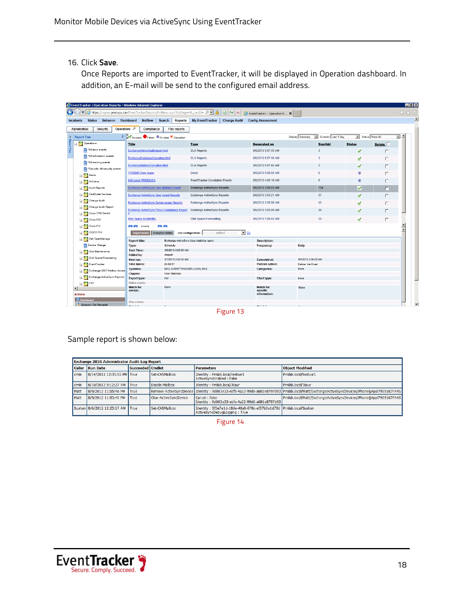16. Click **Save**.

Once Reports are imported to EventTracker, it will be displayed in Operation dashboard. In addition, an E-mail will be send to the configured email address.

|                                                                 | EventTracker :: Operation Reports - Windows Internet Explorer |                                                     |                             |                                                                                                                                |                                       |                                                          |               |                 | $ F$ $x$                           |
|-----------------------------------------------------------------|---------------------------------------------------------------|-----------------------------------------------------|-----------------------------|--------------------------------------------------------------------------------------------------------------------------------|---------------------------------------|----------------------------------------------------------|---------------|-----------------|------------------------------------|
| $\left( \begin{matrix} \bullet \\ \bullet \end{matrix} \right)$ | $\bullet$                                                     |                                                     |                             | https://copper.prismusa.com/EventTracker/Reports/EvtMenu.aspx?SubPage=38_modId= $\rho$   8 4 X G EventTracker :: Operation R x |                                       |                                                          |               |                 | 命☆發                                |
|                                                                 | <b>Status</b><br>Behavior<br>Incidents                        | Dashboard<br><b>Netflow</b>                         | Search<br><b>Reports</b>    | <b>My EventTracker</b>                                                                                                         | <b>Change Audit Config Assessment</b> |                                                          |               |                 |                                    |
|                                                                 | Operations<br>Alphabetical<br>Security                        | Compliance                                          | Flex reports                |                                                                                                                                |                                       |                                                          |               |                 |                                    |
|                                                                 |                                                               |                                                     |                             |                                                                                                                                |                                       |                                                          | $\bullet$     | Status Show All | $\blacktriangle$<br>$\overline{ }$ |
|                                                                 | <b>Report Tree</b>                                            | <b>Q</b> Success Failed No data X Cancelled         |                             |                                                                                                                                |                                       | Display Summary<br>Duration Last 1 Day<br>$\overline{ }$ |               |                 |                                    |
| Report Tree                                                     | Operations                                                    | Title                                               |                             | <b>Type</b>                                                                                                                    | <b>Generated on</b>                   | Size(kb)                                                 | <b>Status</b> | Delete          |                                    |
|                                                                 | *All error events                                             | ExchangeAdminAuditreport.html                       |                             | <b>DLA Reports</b>                                                                                                             | 3/6/2013 5:07:45 AM                   | 3                                                        | ×             | $\Box$          |                                    |
|                                                                 | All information events                                        | ExchangeDatabaseOperation.html                      |                             | <b>DLA Reports</b>                                                                                                             | 3/6/2013 5:07:45 AM                   | $\overline{\mathbf{3}}$                                  | ø             | п               |                                    |
|                                                                 | *All warning events                                           | <b>ExchangeMailboxOperation.html</b>                |                             | <b>DLA Reports</b>                                                                                                             | 3/6/2013 5:07:45 AM                   | 3                                                        | ø             | г               |                                    |
|                                                                 | *Security: All security events                                | <b>V7DEMO User logon</b>                            |                             | Detail                                                                                                                         | 3/6/2013 5:00:05 AM                   | $\mathbf 0$                                              | 傳             |                 |                                    |
|                                                                 | Alerts                                                        |                                                     |                             |                                                                                                                                |                                       |                                                          |               | п               |                                    |
|                                                                 | Antivirus<br>- 3                                              | <b>Init Logon PRISMUSA</b>                          |                             | <b>EventTracker Correlation Events</b>                                                                                         | 3/6/2013 4:00:19 AM                   | $\mathbf 0$                                              | 傳             |                 |                                    |
|                                                                 | <b>Audit Reports</b><br>$\blacksquare$                        | <b>Exchange ActiveSync User statistics report</b>   |                             | <b>Exchange ActiveSync Reports</b>                                                                                             | 3/6/2013 3:06:03 AM                   | 134                                                      | ø             | п               |                                    |
|                                                                 | Certificate Services<br>$+1$                                  | <b>Exchange ActiveSync User Agent Reports</b>       |                             | <b>Exchange ActiveSync Reports</b>                                                                                             | 3/6/2013 3:05:21 AM                   | 37                                                       | ø             | п               |                                    |
|                                                                 | $\blacksquare$<br>Change Audit                                | <b>Exchange ActiveSync Server usage Reports</b>     |                             | <b>Exchange ActiveSync Reports</b>                                                                                             | 3/6/2013 3:05:08 AM                   | 33                                                       | ø             | г               |                                    |
|                                                                 | Change Audit Report<br>$+1$                                   |                                                     |                             |                                                                                                                                |                                       |                                                          |               |                 |                                    |
|                                                                 | Cisco 3750 Switch<br>$\blacksquare$                           | <b>Exchange ActiveSync Policy Compliance Report</b> |                             | Exchange ActiveSync Reports                                                                                                    | 3/6/2013 3:05:00 AM                   | 36                                                       | M             | п               |                                    |
|                                                                 | $\blacksquare$<br>Cisco IOS                                   | <b>Disk Space Availability</b>                      |                             | <b>Disk Space Forecasting</b>                                                                                                  | 3/6/2013 1:00:02 AM                   | 35                                                       | ₩             | $\Box$          |                                    |
|                                                                 | $\blacksquare$<br>Cisco PIX                                   | <b>College</b>                                      | <b>College</b>              |                                                                                                                                |                                       |                                                          |               |                 |                                    |
|                                                                 | CISCO PIX<br>$\blacksquare$                                   | Report details                                      | <b>Exception details</b>    | select<br>$\bullet$ Go<br><b>Use configuration</b>                                                                             |                                       |                                                          |               |                 |                                    |
|                                                                 | $+12$<br>Dell OpenManage                                      |                                                     |                             |                                                                                                                                |                                       |                                                          |               |                 |                                    |
|                                                                 | Device Change                                                 | <b>Report title:</b><br>Type:                       | Schedule                    | Exchange ActiveSync User statistics report                                                                                     | <b>Description:</b><br>Frequency:     | Daily                                                    |               |                 |                                    |
|                                                                 |                                                               | <b>Start Time:</b>                                  | 3/6/2013 3:00:00 AM         |                                                                                                                                |                                       |                                                          |               |                 |                                    |
|                                                                 | Disk Maintenance<br>P. S<br>$\pm$                             | Added by:                                           | deepak                      |                                                                                                                                |                                       |                                                          |               |                 |                                    |
|                                                                 | Disk Space Forecasting<br>$+1$                                | Next run:                                           | 3/7/2013 3:00:00 AM         |                                                                                                                                | <b>Executed at:</b>                   | 3/6/2013 3:06:03 AM                                      |               |                 |                                    |
|                                                                 | $\pm$ 3<br>EventTracker                                       | Time taken:                                         | 00:00:37                    |                                                                                                                                | Publish option:                       | Deliver Via Email                                        |               |                 |                                    |
|                                                                 | Exchange 2007 Mailbox Acces<br>$\blacksquare$                 | Systems:                                            | MAIL.EVENTTRACKER.LOCAL-DLA |                                                                                                                                | Categories:                           | None                                                     |               |                 |                                    |
|                                                                 |                                                               | Chapter:                                            | <b>User Statistics</b>      |                                                                                                                                |                                       |                                                          |               |                 |                                    |
|                                                                 | Exchange ActiveSync Reports<br>$+$ $\rightarrow$              | <b>Export type:</b>                                 | Pdf                         |                                                                                                                                | Chart type:                           | None                                                     |               |                 |                                    |
|                                                                 | $\pm$ M FTP                                                   | Refine criteria:                                    |                             |                                                                                                                                |                                       |                                                          |               |                 |                                    |
|                                                                 | $\blacksquare$                                                | <b>Match for</b><br>$user(s)$ :                     | None                        |                                                                                                                                | <b>Match for</b><br>specific          | None                                                     |               |                 |                                    |
|                                                                 | <b>Actions</b>                                                |                                                     |                             |                                                                                                                                | information:                          |                                                          |               |                 |                                    |
|                                                                 | Dashboard                                                     | Filter criteria:                                    |                             |                                                                                                                                |                                       |                                                          |               |                 |                                    |
|                                                                 | Oueued / On Demand                                            |                                                     |                             |                                                                                                                                |                                       |                                                          |               |                 | $\overline{\phantom{a}}$           |

Figure 13

Sample report is shown below:

| <b>Exchange 2010 Administrator Audit Log Report</b> |                             |                  |                        |                                                                                                    |                                                                                                                                           |
|-----------------------------------------------------|-----------------------------|------------------|------------------------|----------------------------------------------------------------------------------------------------|-------------------------------------------------------------------------------------------------------------------------------------------|
| <b>Caller</b>                                       | <b>Run Date</b>             | Succeeded Cmdlet |                        | <b>Parameters</b>                                                                                  | <b>Object Modified</b>                                                                                                                    |
| <b>Crnils</b>                                       | 8/14/2012 12:35:55 PM True  |                  | Set-CASMailbox         | Identity : Pmilab.local/testusr1<br>ActiveSyncEnabled: False                                       | Pmilab.local/testusr1                                                                                                                     |
| cmils                                               | 8/10/2012 5:12:27 AM        | <b>True</b>      | Disable-Mailbox        | Identity : Pmilab.local/Jkaur                                                                      | Pmilab.local/Jkaur                                                                                                                        |
| Matt                                                | 8/9/2012 11:55:46 PM        | <b>True</b>      |                        |                                                                                                    | Remove-ActiveSyncDevice Identity: 9d003e33-ebfa-4a22-99d6-a681e8797b93 Pmilab.local/Matt/ExchangeActiveSyncDevices/iPhone§Appl79051K7FA4S |
| Matt                                                | 8/9/2012 11:53:40 PM        | <b>True</b>      | Clear-ActiveSvncDevice | Cancel: False<br>Identity: 9d003e33-ebfa-4a22-99d6-a681e8797b93                                    | Pmilab.local/Matt/ExchangeActiveSyncDevices/iPhone6Appl79051K7FA4S                                                                        |
|                                                     | Sushan 8/6/2012 12:25:17 AM | <b>True</b>      | Set-CASMailbox         | Identity: 3f5e7e1d-18de-48a8-878c-ef37b0e1d78d Pmilab.local/Sushan<br>ActiveSyncDebugLogging: True |                                                                                                                                           |

Figure 14